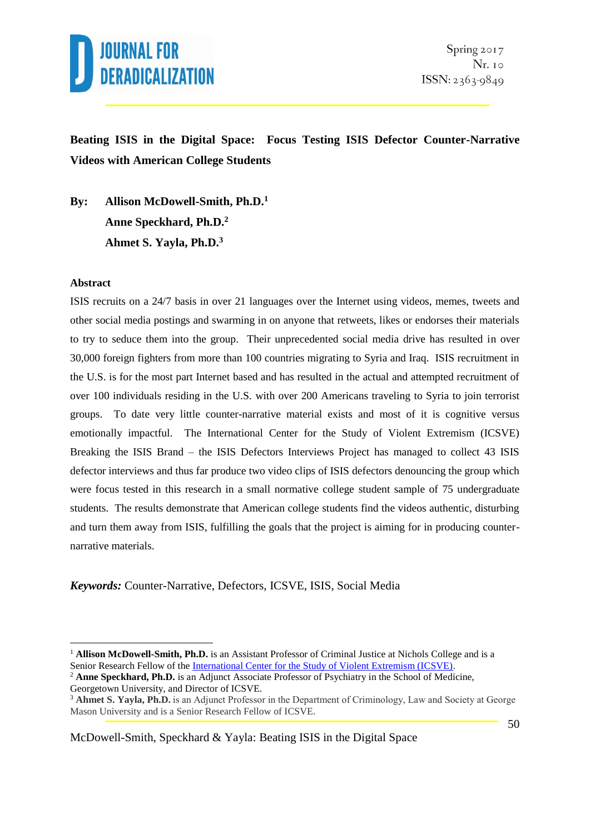

**Beating ISIS in the Digital Space: Focus Testing ISIS Defector Counter-Narrative Videos with American College Students**

**By: Allison McDowell-Smith, Ph.D.<sup>1</sup> Anne Speckhard, Ph.D.<sup>2</sup> Ahmet S. Yayla, Ph.D.<sup>3</sup>**

#### **Abstract**

1

ISIS recruits on a 24/7 basis in over 21 languages over the Internet using videos, memes, tweets and other social media postings and swarming in on anyone that retweets, likes or endorses their materials to try to seduce them into the group. Their unprecedented social media drive has resulted in over 30,000 foreign fighters from more than 100 countries migrating to Syria and Iraq. ISIS recruitment in the U.S. is for the most part Internet based and has resulted in the actual and attempted recruitment of over 100 individuals residing in the U.S. with over 200 Americans traveling to Syria to join terrorist groups. To date very little counter-narrative material exists and most of it is cognitive versus emotionally impactful. The International Center for the Study of Violent Extremism (ICSVE) Breaking the ISIS Brand – the ISIS Defectors Interviews Project has managed to collect 43 ISIS defector interviews and thus far produce two video clips of ISIS defectors denouncing the group which were focus tested in this research in a small normative college student sample of 75 undergraduate students. The results demonstrate that American college students find the videos authentic, disturbing and turn them away from ISIS, fulfilling the goals that the project is aiming for in producing counternarrative materials.

*Keywords:* Counter-Narrative, Defectors, ICSVE, ISIS, Social Media

<sup>1</sup> **Allison McDowell-Smith, Ph.D.** is an Assistant Professor of Criminal Justice at Nichols College and is a Senior Research Fellow of the [International Center for the Study of Violent Extremism \(ICSVE\).](http://www.icsve.org/)

<sup>2</sup> **Anne Speckhard, Ph.D.** is an Adjunct Associate Professor of Psychiatry in the School of Medicine, Georgetown University, and Director of ICSVE.

<sup>3</sup> **Ahmet S. Yayla, Ph.D.** is an Adjunct Professor in the Department of Criminology, Law and Society at George Mason University and is a Senior Research Fellow of ICSVE.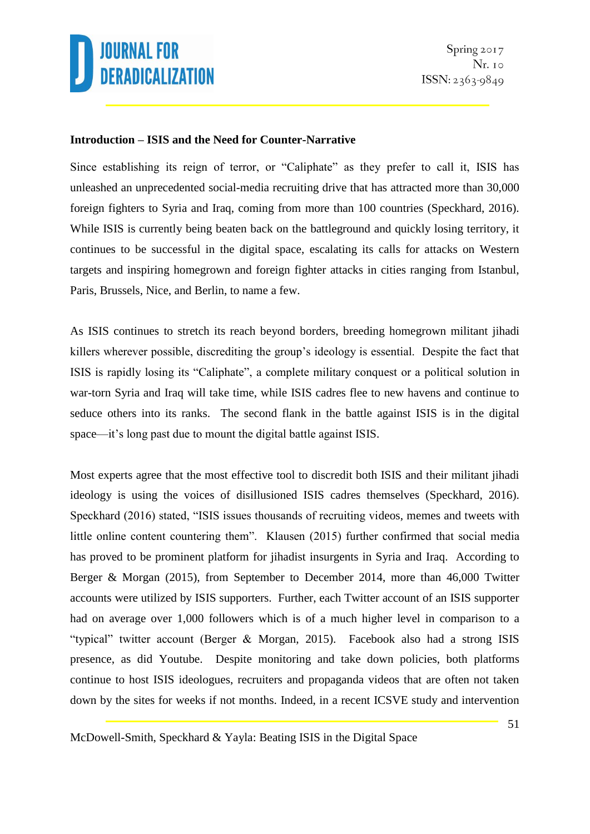

#### **Introduction – ISIS and the Need for Counter-Narrative**

Since establishing its reign of terror, or "Caliphate" as they prefer to call it, ISIS has unleashed an unprecedented social-media recruiting drive that has attracted more than 30,000 foreign fighters to Syria and Iraq, coming from more than 100 countries (Speckhard, 2016). While ISIS is currently being beaten back on the battleground and quickly losing territory, it continues to be successful in the digital space, escalating its calls for attacks on Western targets and inspiring homegrown and foreign fighter attacks in cities ranging from Istanbul, Paris, Brussels, Nice, and Berlin, to name a few.

As ISIS continues to stretch its reach beyond borders, breeding homegrown militant jihadi killers wherever possible, discrediting the group's ideology is essential. Despite the fact that ISIS is rapidly losing its "Caliphate", a complete military conquest or a political solution in war-torn Syria and Iraq will take time, while ISIS cadres flee to new havens and continue to seduce others into its ranks. The second flank in the battle against ISIS is in the digital space—it's long past due to mount the digital battle against ISIS.

Most experts agree that the most effective tool to discredit both ISIS and their militant jihadi ideology is using the voices of disillusioned ISIS cadres themselves (Speckhard, 2016). Speckhard (2016) stated, "ISIS issues thousands of recruiting videos, memes and tweets with little online content countering them". Klausen (2015) further confirmed that social media has proved to be prominent platform for jihadist insurgents in Syria and Iraq. According to Berger & Morgan (2015), from September to December 2014, more than 46,000 Twitter accounts were utilized by ISIS supporters. Further, each Twitter account of an ISIS supporter had on average over 1,000 followers which is of a much higher level in comparison to a "typical" twitter account (Berger & Morgan, 2015). Facebook also had a strong ISIS presence, as did Youtube. Despite monitoring and take down policies, both platforms continue to host ISIS ideologues, recruiters and propaganda videos that are often not taken down by the sites for weeks if not months. Indeed, in a recent ICSVE study and intervention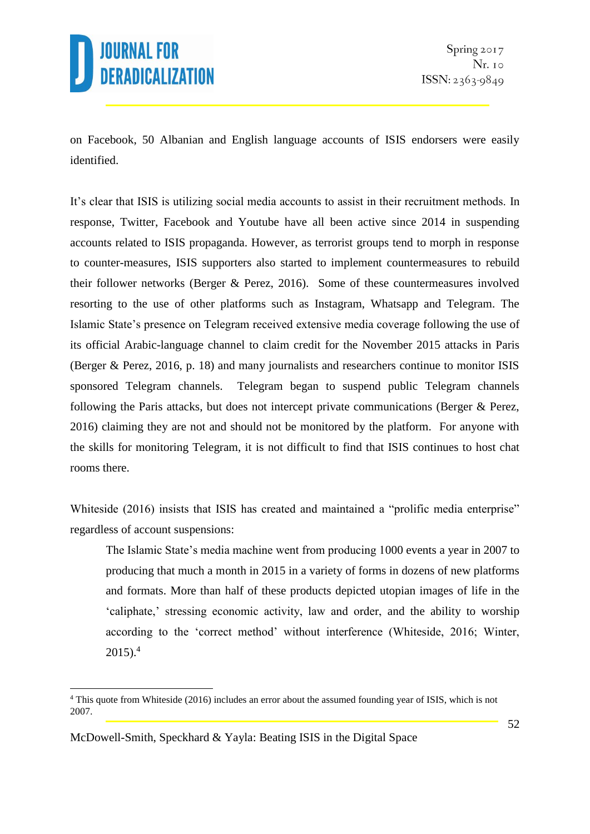

on Facebook, 50 Albanian and English language accounts of ISIS endorsers were easily identified.

It's clear that ISIS is utilizing social media accounts to assist in their recruitment methods. In response, Twitter, Facebook and Youtube have all been active since 2014 in suspending accounts related to ISIS propaganda. However, as terrorist groups tend to morph in response to counter-measures, ISIS supporters also started to implement countermeasures to rebuild their follower networks (Berger & Perez, 2016). Some of these countermeasures involved resorting to the use of other platforms such as Instagram, Whatsapp and Telegram. The Islamic State's presence on Telegram received extensive media coverage following the use of its official Arabic-language channel to claim credit for the November 2015 attacks in Paris (Berger & Perez, 2016, p. 18) and many journalists and researchers continue to monitor ISIS sponsored Telegram channels. Telegram began to suspend public Telegram channels following the Paris attacks, but does not intercept private communications (Berger & Perez, 2016) claiming they are not and should not be monitored by the platform. For anyone with the skills for monitoring Telegram, it is not difficult to find that ISIS continues to host chat rooms there.

Whiteside (2016) insists that ISIS has created and maintained a "prolific media enterprise" regardless of account suspensions:

The Islamic State's media machine went from producing 1000 events a year in 2007 to producing that much a month in 2015 in a variety of forms in dozens of new platforms and formats. More than half of these products depicted utopian images of life in the 'caliphate,' stressing economic activity, law and order, and the ability to worship according to the 'correct method' without interference (Whiteside, 2016; Winter,  $2015$ ).<sup>4</sup>

<sup>&</sup>lt;u>.</u> <sup>4</sup> This quote from Whiteside (2016) includes an error about the assumed founding year of ISIS, which is not 2007.

McDowell-Smith, Speckhard & Yayla: Beating ISIS in the Digital Space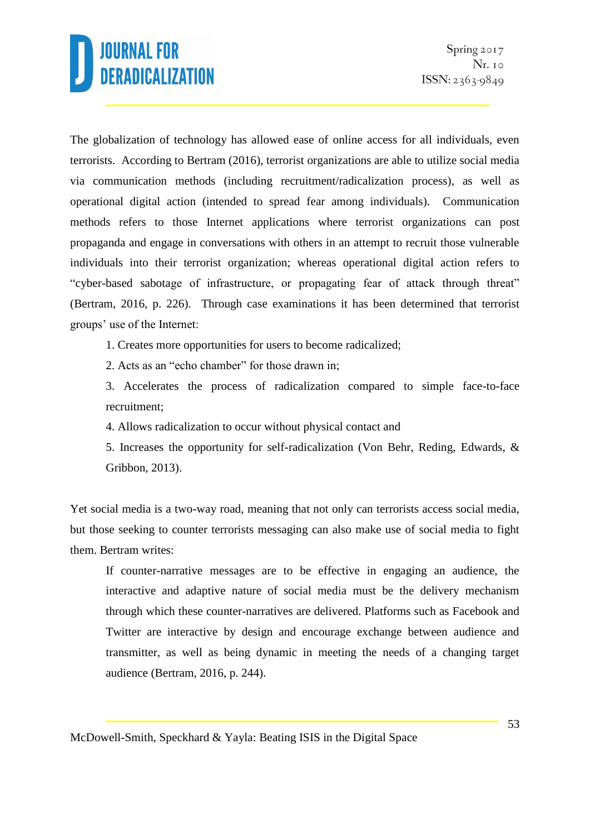The globalization of technology has allowed ease of online access for all individuals, even terrorists. According to Bertram (2016), terrorist organizations are able to utilize social media via communication methods (including recruitment/radicalization process), as well as operational digital action (intended to spread fear among individuals). Communication methods refers to those Internet applications where terrorist organizations can post propaganda and engage in conversations with others in an attempt to recruit those vulnerable individuals into their terrorist organization; whereas operational digital action refers to "cyber-based sabotage of infrastructure, or propagating fear of attack through threat" (Bertram, 2016, p. 226). Through case examinations it has been determined that terrorist groups' use of the Internet:

1. Creates more opportunities for users to become radicalized;

2. Acts as an "echo chamber" for those drawn in;

3. Accelerates the process of radicalization compared to simple face-to-face recruitment;

4. Allows radicalization to occur without physical contact and

5. Increases the opportunity for self-radicalization (Von Behr, Reding, Edwards, & Gribbon, 2013).

Yet social media is a two-way road, meaning that not only can terrorists access social media, but those seeking to counter terrorists messaging can also make use of social media to fight them. Bertram writes:

If counter-narrative messages are to be effective in engaging an audience, the interactive and adaptive nature of social media must be the delivery mechanism through which these counter-narratives are delivered. Platforms such as Facebook and Twitter are interactive by design and encourage exchange between audience and transmitter, as well as being dynamic in meeting the needs of a changing target audience (Bertram, 2016, p. 244).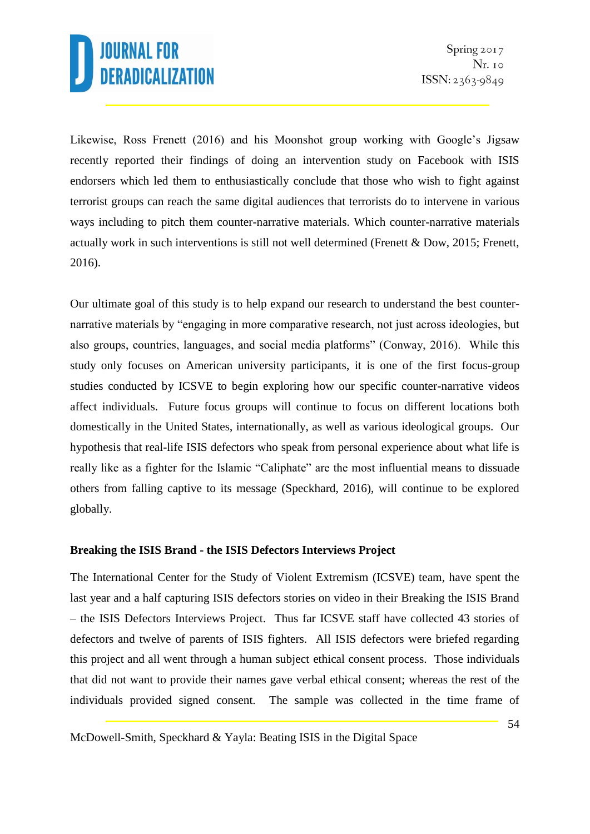Likewise, Ross Frenett (2016) and his Moonshot group working with Google's Jigsaw recently reported their findings of doing an intervention study on Facebook with ISIS endorsers which led them to enthusiastically conclude that those who wish to fight against terrorist groups can reach the same digital audiences that terrorists do to intervene in various ways including to pitch them counter-narrative materials. Which counter-narrative materials actually work in such interventions is still not well determined (Frenett & Dow, 2015; Frenett, 2016).

Our ultimate goal of this study is to help expand our research to understand the best counternarrative materials by "engaging in more comparative research, not just across ideologies, but also groups, countries, languages, and social media platforms" (Conway, 2016). While this study only focuses on American university participants, it is one of the first focus-group studies conducted by ICSVE to begin exploring how our specific counter-narrative videos affect individuals. Future focus groups will continue to focus on different locations both domestically in the United States, internationally, as well as various ideological groups. Our hypothesis that real-life ISIS defectors who speak from personal experience about what life is really like as a fighter for the Islamic "Caliphate" are the most influential means to dissuade others from falling captive to its message (Speckhard, 2016), will continue to be explored globally.

#### **Breaking the ISIS Brand - the ISIS Defectors Interviews Project**

The International Center for the Study of Violent Extremism (ICSVE) team, have spent the last year and a half capturing ISIS defectors stories on video in their Breaking the ISIS Brand – the ISIS Defectors Interviews Project. Thus far ICSVE staff have collected 43 stories of defectors and twelve of parents of ISIS fighters. All ISIS defectors were briefed regarding this project and all went through a human subject ethical consent process. Those individuals that did not want to provide their names gave verbal ethical consent; whereas the rest of the individuals provided signed consent. The sample was collected in the time frame of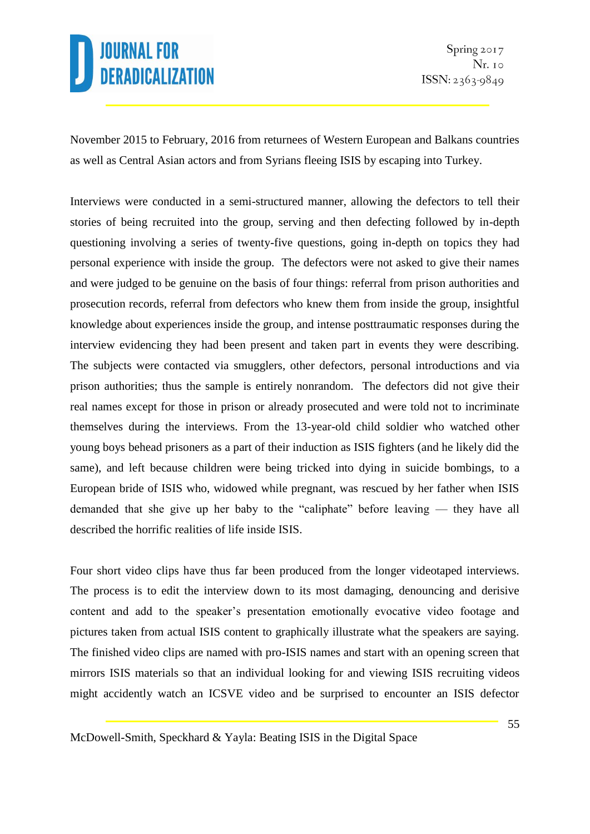November 2015 to February, 2016 from returnees of Western European and Balkans countries as well as Central Asian actors and from Syrians fleeing ISIS by escaping into Turkey.

Interviews were conducted in a semi-structured manner, allowing the defectors to tell their stories of being recruited into the group, serving and then defecting followed by in-depth questioning involving a series of twenty-five questions, going in-depth on topics they had personal experience with inside the group. The defectors were not asked to give their names and were judged to be genuine on the basis of four things: referral from prison authorities and prosecution records, referral from defectors who knew them from inside the group, insightful knowledge about experiences inside the group, and intense posttraumatic responses during the interview evidencing they had been present and taken part in events they were describing. The subjects were contacted via smugglers, other defectors, personal introductions and via prison authorities; thus the sample is entirely nonrandom. The defectors did not give their real names except for those in prison or already prosecuted and were told not to incriminate themselves during the interviews. From the 13-year-old child soldier who watched other young boys behead prisoners as a part of their induction as ISIS fighters (and he likely did the same), and left because children were being tricked into dying in suicide bombings, to a European bride of ISIS who, widowed while pregnant, was rescued by her father when ISIS demanded that she give up her baby to the "caliphate" before leaving — they have all described the horrific realities of life inside ISIS.

Four short video clips have thus far been produced from the longer videotaped interviews. The process is to edit the interview down to its most damaging, denouncing and derisive content and add to the speaker's presentation emotionally evocative video footage and pictures taken from actual ISIS content to graphically illustrate what the speakers are saying. The finished video clips are named with pro-ISIS names and start with an opening screen that mirrors ISIS materials so that an individual looking for and viewing ISIS recruiting videos might accidently watch an ICSVE video and be surprised to encounter an ISIS defector

McDowell-Smith, Speckhard & Yayla: Beating ISIS in the Digital Space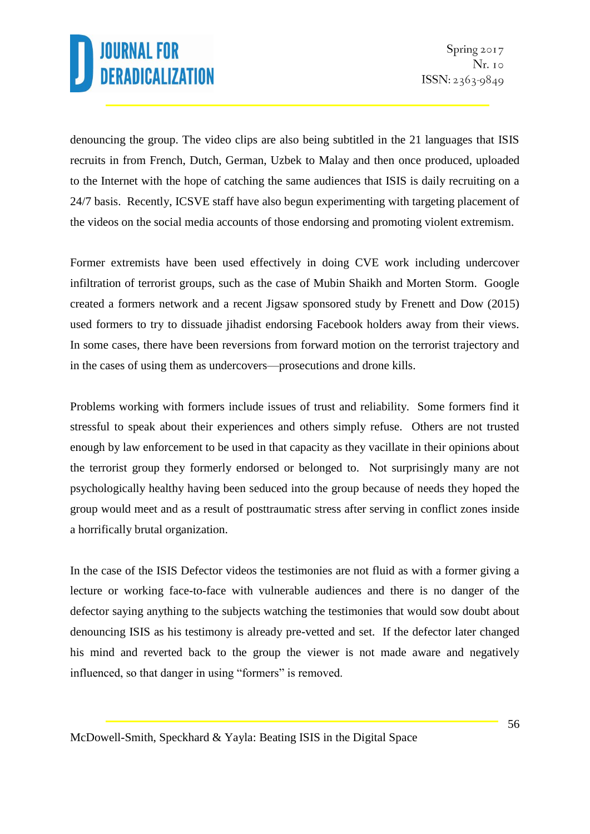denouncing the group. The video clips are also being subtitled in the 21 languages that ISIS recruits in from French, Dutch, German, Uzbek to Malay and then once produced, uploaded to the Internet with the hope of catching the same audiences that ISIS is daily recruiting on a 24/7 basis. Recently, ICSVE staff have also begun experimenting with targeting placement of the videos on the social media accounts of those endorsing and promoting violent extremism.

Former extremists have been used effectively in doing CVE work including undercover infiltration of terrorist groups, such as the case of Mubin Shaikh and Morten Storm. Google created a formers network and a recent Jigsaw sponsored study by Frenett and Dow (2015) used formers to try to dissuade jihadist endorsing Facebook holders away from their views. In some cases, there have been reversions from forward motion on the terrorist trajectory and in the cases of using them as undercovers—prosecutions and drone kills.

Problems working with formers include issues of trust and reliability. Some formers find it stressful to speak about their experiences and others simply refuse. Others are not trusted enough by law enforcement to be used in that capacity as they vacillate in their opinions about the terrorist group they formerly endorsed or belonged to. Not surprisingly many are not psychologically healthy having been seduced into the group because of needs they hoped the group would meet and as a result of posttraumatic stress after serving in conflict zones inside a horrifically brutal organization.

In the case of the ISIS Defector videos the testimonies are not fluid as with a former giving a lecture or working face-to-face with vulnerable audiences and there is no danger of the defector saying anything to the subjects watching the testimonies that would sow doubt about denouncing ISIS as his testimony is already pre-vetted and set. If the defector later changed his mind and reverted back to the group the viewer is not made aware and negatively influenced, so that danger in using "formers" is removed.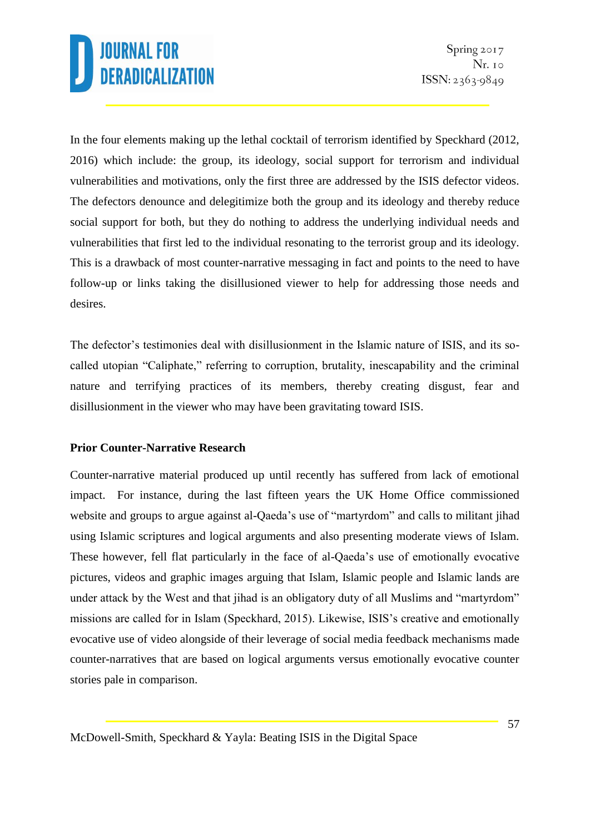In the four elements making up the lethal cocktail of terrorism identified by Speckhard (2012, 2016) which include: the group, its ideology, social support for terrorism and individual vulnerabilities and motivations, only the first three are addressed by the ISIS defector videos. The defectors denounce and delegitimize both the group and its ideology and thereby reduce social support for both, but they do nothing to address the underlying individual needs and vulnerabilities that first led to the individual resonating to the terrorist group and its ideology. This is a drawback of most counter-narrative messaging in fact and points to the need to have follow-up or links taking the disillusioned viewer to help for addressing those needs and desires.

The defector's testimonies deal with disillusionment in the Islamic nature of ISIS, and its socalled utopian "Caliphate," referring to corruption, brutality, inescapability and the criminal nature and terrifying practices of its members, thereby creating disgust, fear and disillusionment in the viewer who may have been gravitating toward ISIS.

### **Prior Counter-Narrative Research**

Counter-narrative material produced up until recently has suffered from lack of emotional impact. For instance, during the last fifteen years the UK Home Office commissioned website and groups to argue against al-Qaeda's use of "martyrdom" and calls to militant jihad using Islamic scriptures and logical arguments and also presenting moderate views of Islam. These however, fell flat particularly in the face of al-Qaeda's use of emotionally evocative pictures, videos and graphic images arguing that Islam, Islamic people and Islamic lands are under attack by the West and that jihad is an obligatory duty of all Muslims and "martyrdom" missions are called for in Islam (Speckhard, 2015). Likewise, ISIS's creative and emotionally evocative use of video alongside of their leverage of social media feedback mechanisms made counter-narratives that are based on logical arguments versus emotionally evocative counter stories pale in comparison.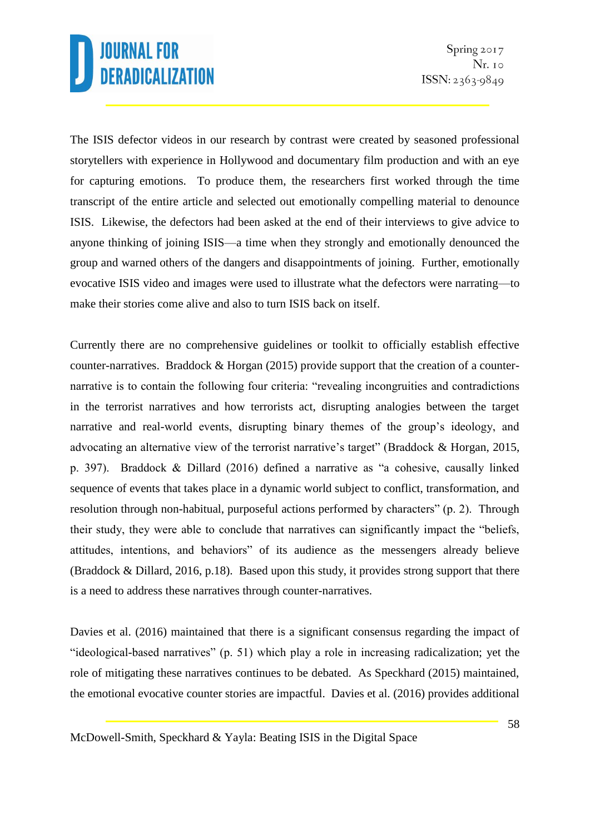The ISIS defector videos in our research by contrast were created by seasoned professional storytellers with experience in Hollywood and documentary film production and with an eye for capturing emotions. To produce them, the researchers first worked through the time transcript of the entire article and selected out emotionally compelling material to denounce ISIS. Likewise, the defectors had been asked at the end of their interviews to give advice to anyone thinking of joining ISIS—a time when they strongly and emotionally denounced the group and warned others of the dangers and disappointments of joining. Further, emotionally evocative ISIS video and images were used to illustrate what the defectors were narrating—to make their stories come alive and also to turn ISIS back on itself.

Currently there are no comprehensive guidelines or toolkit to officially establish effective counter-narratives. Braddock & Horgan (2015) provide support that the creation of a counternarrative is to contain the following four criteria: "revealing incongruities and contradictions in the terrorist narratives and how terrorists act, disrupting analogies between the target narrative and real-world events, disrupting binary themes of the group's ideology, and advocating an alternative view of the terrorist narrative's target" (Braddock & Horgan, 2015, p. 397). Braddock & Dillard (2016) defined a narrative as "a cohesive, causally linked sequence of events that takes place in a dynamic world subject to conflict, transformation, and resolution through non-habitual, purposeful actions performed by characters" (p. 2). Through their study, they were able to conclude that narratives can significantly impact the "beliefs, attitudes, intentions, and behaviors" of its audience as the messengers already believe (Braddock & Dillard, 2016, p.18). Based upon this study, it provides strong support that there is a need to address these narratives through counter-narratives.

Davies et al. (2016) maintained that there is a significant consensus regarding the impact of "ideological-based narratives" (p. 51) which play a role in increasing radicalization; yet the role of mitigating these narratives continues to be debated. As Speckhard (2015) maintained, the emotional evocative counter stories are impactful. Davies et al. (2016) provides additional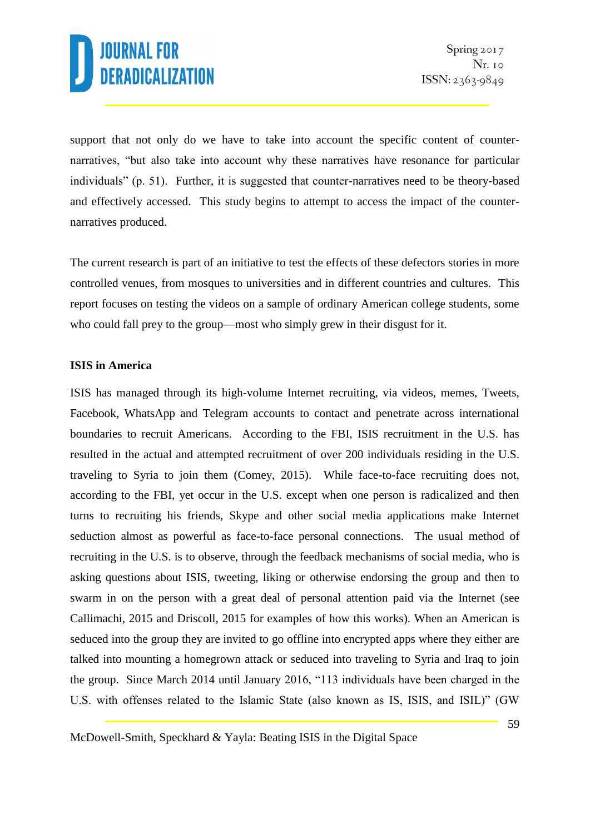support that not only do we have to take into account the specific content of counternarratives, "but also take into account why these narratives have resonance for particular individuals" (p. 51). Further, it is suggested that counter-narratives need to be theory-based and effectively accessed. This study begins to attempt to access the impact of the counternarratives produced.

The current research is part of an initiative to test the effects of these defectors stories in more controlled venues, from mosques to universities and in different countries and cultures. This report focuses on testing the videos on a sample of ordinary American college students, some who could fall prey to the group—most who simply grew in their disgust for it.

### **ISIS in America**

ISIS has managed through its high-volume Internet recruiting, via videos, memes, Tweets, Facebook, WhatsApp and Telegram accounts to contact and penetrate across international boundaries to recruit Americans. According to the FBI, ISIS recruitment in the U.S. has resulted in the actual and attempted recruitment of over 200 individuals residing in the U.S. traveling to Syria to join them (Comey, 2015). While face-to-face recruiting does not, according to the FBI, yet occur in the U.S. except when one person is radicalized and then turns to recruiting his friends, Skype and other social media applications make Internet seduction almost as powerful as face-to-face personal connections. The usual method of recruiting in the U.S. is to observe, through the feedback mechanisms of social media, who is asking questions about ISIS, tweeting, liking or otherwise endorsing the group and then to swarm in on the person with a great deal of personal attention paid via the Internet (see Callimachi, 2015 and Driscoll, 2015 for examples of how this works). When an American is seduced into the group they are invited to go offline into encrypted apps where they either are talked into mounting a homegrown attack or seduced into traveling to Syria and Iraq to join the group. Since March 2014 until January 2016, "113 individuals have been charged in the U.S. with offenses related to the Islamic State (also known as IS, ISIS, and ISIL)" (GW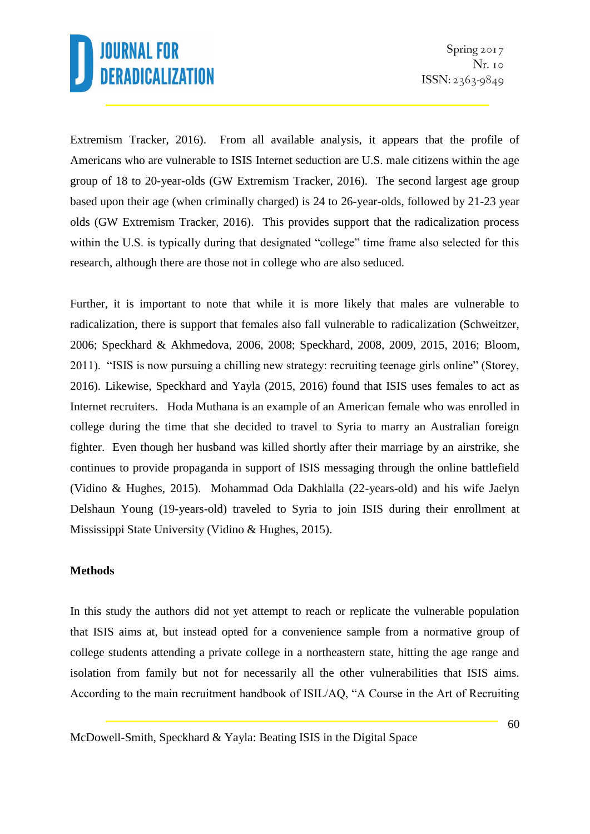Extremism Tracker, 2016). From all available analysis, it appears that the profile of Americans who are vulnerable to ISIS Internet seduction are U.S. male citizens within the age group of 18 to 20-year-olds (GW Extremism Tracker, 2016). The second largest age group based upon their age (when criminally charged) is 24 to 26-year-olds, followed by 21-23 year olds (GW Extremism Tracker, 2016). This provides support that the radicalization process within the U.S. is typically during that designated "college" time frame also selected for this research, although there are those not in college who are also seduced.

Further, it is important to note that while it is more likely that males are vulnerable to radicalization, there is support that females also fall vulnerable to radicalization (Schweitzer, 2006; Speckhard & Akhmedova, 2006, 2008; Speckhard, 2008, 2009, 2015, 2016; Bloom, 2011). "ISIS is now pursuing a chilling new strategy: recruiting teenage girls online" (Storey, 2016). Likewise, Speckhard and Yayla (2015, 2016) found that ISIS uses females to act as Internet recruiters. Hoda Muthana is an example of an American female who was enrolled in college during the time that she decided to travel to Syria to marry an Australian foreign fighter. Even though her husband was killed shortly after their marriage by an airstrike, she continues to provide propaganda in support of ISIS messaging through the online battlefield (Vidino & Hughes, 2015). Mohammad Oda Dakhlalla (22-years-old) and his wife Jaelyn Delshaun Young (19-years-old) traveled to Syria to join ISIS during their enrollment at Mississippi State University (Vidino & Hughes, 2015).

#### **Methods**

In this study the authors did not yet attempt to reach or replicate the vulnerable population that ISIS aims at, but instead opted for a convenience sample from a normative group of college students attending a private college in a northeastern state, hitting the age range and isolation from family but not for necessarily all the other vulnerabilities that ISIS aims. According to the main recruitment handbook of ISIL/AQ, "A Course in the Art of Recruiting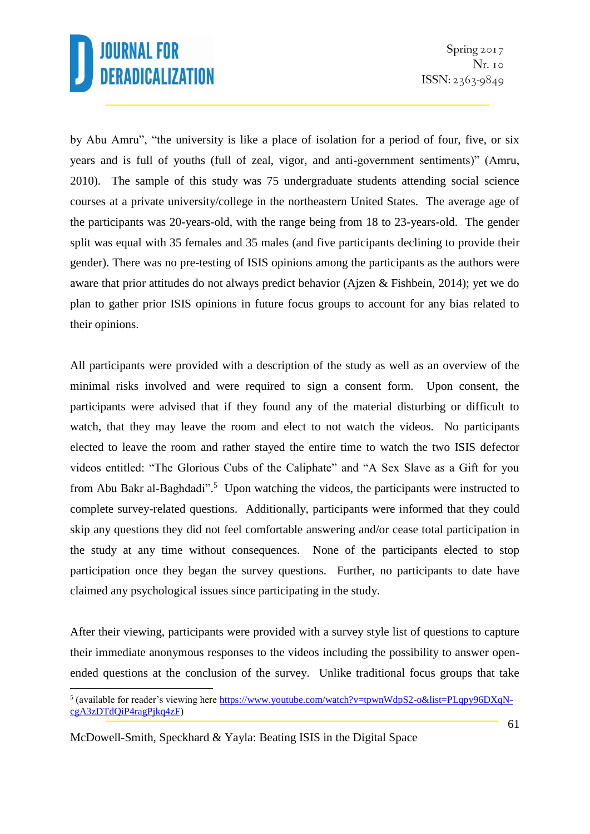by Abu Amru", "the university is like a place of isolation for a period of four, five, or six years and is full of youths (full of zeal, vigor, and anti-government sentiments)" (Amru, 2010). The sample of this study was 75 undergraduate students attending social science courses at a private university/college in the northeastern United States. The average age of the participants was 20-years-old, with the range being from 18 to 23-years-old. The gender split was equal with 35 females and 35 males (and five participants declining to provide their gender). There was no pre-testing of ISIS opinions among the participants as the authors were aware that prior attitudes do not always predict behavior (Ajzen & Fishbein, 2014); yet we do plan to gather prior ISIS opinions in future focus groups to account for any bias related to their opinions.

All participants were provided with a description of the study as well as an overview of the minimal risks involved and were required to sign a consent form. Upon consent, the participants were advised that if they found any of the material disturbing or difficult to watch, that they may leave the room and elect to not watch the videos. No participants elected to leave the room and rather stayed the entire time to watch the two ISIS defector videos entitled: "The Glorious Cubs of the Caliphate" and "A Sex Slave as a Gift for you from Abu Bakr al-Baghdadi".<sup>5</sup> Upon watching the videos, the participants were instructed to complete survey-related questions. Additionally, participants were informed that they could skip any questions they did not feel comfortable answering and/or cease total participation in the study at any time without consequences. None of the participants elected to stop participation once they began the survey questions. Further, no participants to date have claimed any psychological issues since participating in the study.

After their viewing, participants were provided with a survey style list of questions to capture their immediate anonymous responses to the videos including the possibility to answer openended questions at the conclusion of the survey. Unlike traditional focus groups that take

<sup>-&</sup>lt;br><sup>5</sup> (available for reader's viewing here <u>https://www.youtube.com/watch?v=tpwnWdpS2-o&list=PLqpy96DXqN-</u> [cgA3zDTdQiP4ragPjkq4zF\)](https://www.youtube.com/watch?v=tpwnWdpS2-o&list=PLqpy96DXqN-cgA3zDTdQiP4ragPjkq4zF)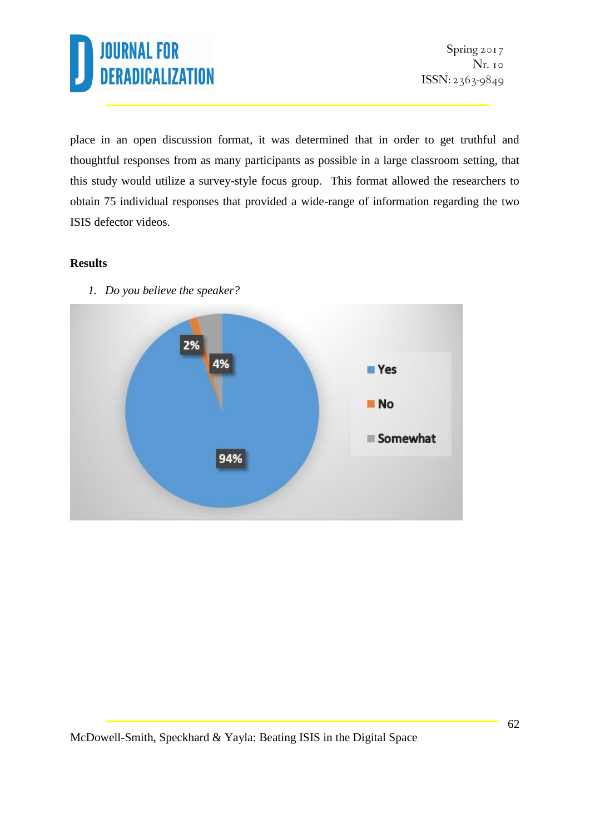

place in an open discussion format, it was determined that in order to get truthful and thoughtful responses from as many participants as possible in a large classroom setting, that this study would utilize a survey-style focus group. This format allowed the researchers to obtain 75 individual responses that provided a wide-range of information regarding the two ISIS defector videos.

#### **Results**



*1. Do you believe the speaker?*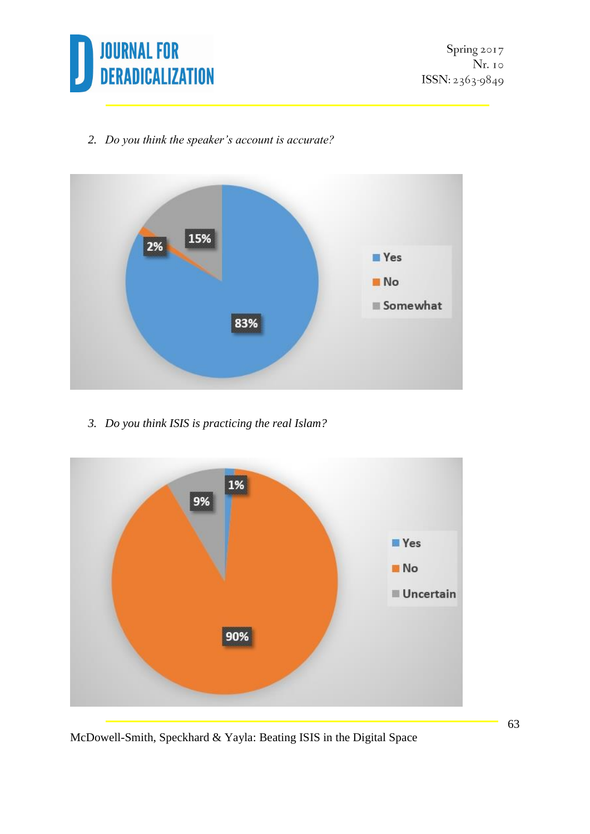

*2. Do you think the speaker's account is accurate?*



*3. Do you think ISIS is practicing the real Islam?*



McDowell-Smith, Speckhard & Yayla: Beating ISIS in the Digital Space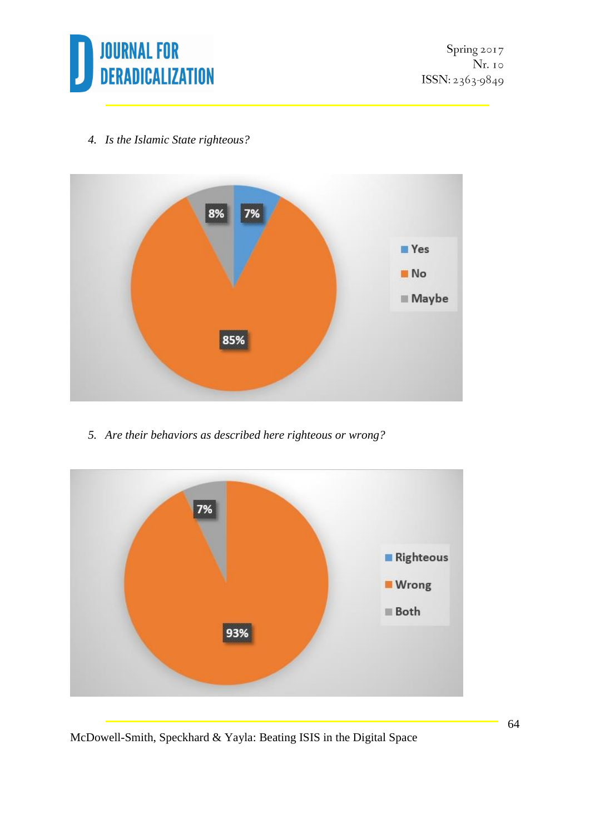

Spring 2017 Nr. 10 ISSN: 2363-9849

*4. Is the Islamic State righteous?*



*5. Are their behaviors as described here righteous or wrong?*



McDowell-Smith, Speckhard & Yayla: Beating ISIS in the Digital Space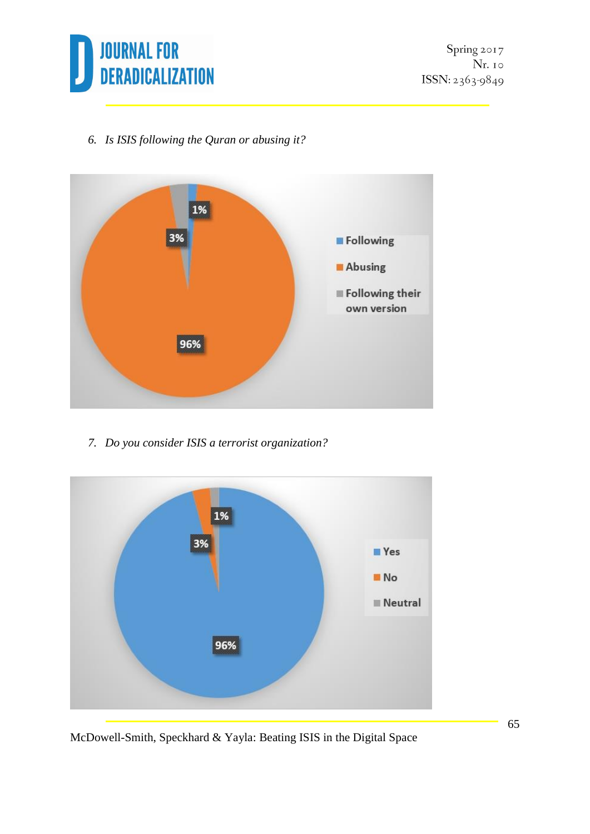

*6. Is ISIS following the Quran or abusing it?*



*7. Do you consider ISIS a terrorist organization?*



McDowell-Smith, Speckhard & Yayla: Beating ISIS in the Digital Space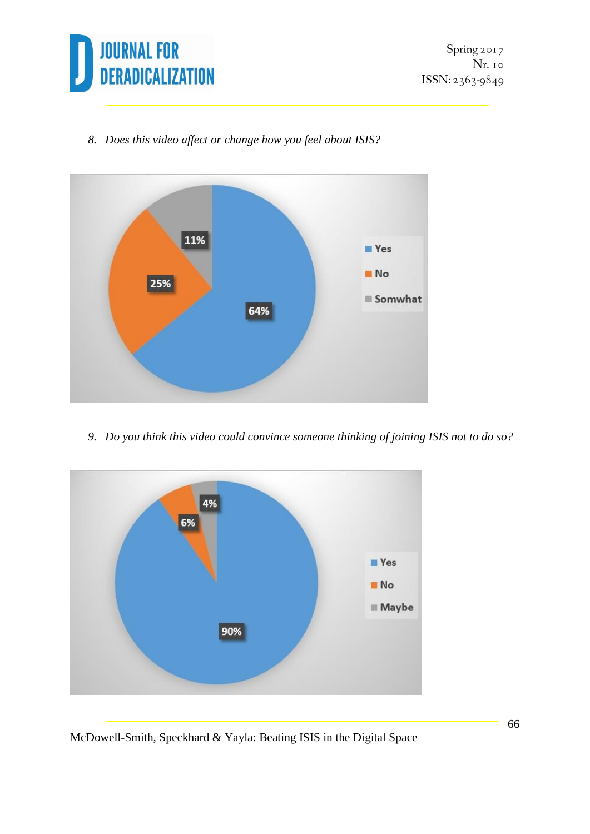

*8. Does this video affect or change how you feel about ISIS?*



*9. Do you think this video could convince someone thinking of joining ISIS not to do so?*



McDowell-Smith, Speckhard & Yayla: Beating ISIS in the Digital Space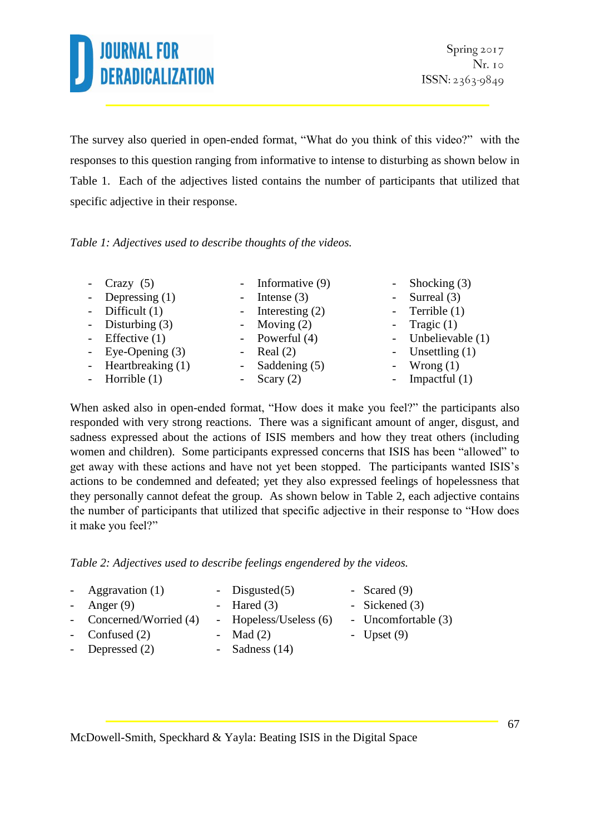The survey also queried in open-ended format, "What do you think of this video?" with the responses to this question ranging from informative to intense to disturbing as shown below in Table 1. Each of the adjectives listed contains the number of participants that utilized that specific adjective in their response.

*Table 1: Adjectives used to describe thoughts of the videos.*

| - $Crazy(5)$          | - Informative $(9)$ | - Shocking $(3)$   |
|-----------------------|---------------------|--------------------|
| - Depressing $(1)$    | - Intense $(3)$     | - Surreal $(3)$    |
| - Difficult $(1)$     | - Interesting $(2)$ | - Terrible $(1)$   |
| - Disturbing $(3)$    | - Moving $(2)$      | - Tragic $(1)$     |
| - Effective $(1)$     | - Powerful $(4)$    | - Unbelievable (1) |
| - Eye-Opening $(3)$   | - Real $(2)$        | - Unsettling $(1)$ |
| - Heartbreaking $(1)$ | - Saddening $(5)$   | - Wrong $(1)$      |
| - Horrible $(1)$      | - Scary $(2)$       | - Impactful $(1)$  |

When asked also in open-ended format, "How does it make you feel?" the participants also responded with very strong reactions. There was a significant amount of anger, disgust, and sadness expressed about the actions of ISIS members and how they treat others (including women and children). Some participants expressed concerns that ISIS has been "allowed" to get away with these actions and have not yet been stopped. The participants wanted ISIS's actions to be condemned and defeated; yet they also expressed feelings of hopelessness that they personally cannot defeat the group. As shown below in Table 2, each adjective contains the number of participants that utilized that specific adjective in their response to "How does it make you feel?"

*Table 2: Adjectives used to describe feelings engendered by the videos.*

- $Aggravation (1)$  Disgusted(5) Scared (9)
	-
- Anger  $(9)$  Hared  $(3)$  Sickened  $(3)$
- Concerned/Worried (4) Hopeless/Useless (6) Uncomfortable (3)
	- -
- - Depressed (2) Sadness (14)
- Confused  $(2)$  Mad  $(2)$  Upset  $(9)$
- 
- McDowell-Smith, Speckhard & Yayla: Beating ISIS in the Digital Space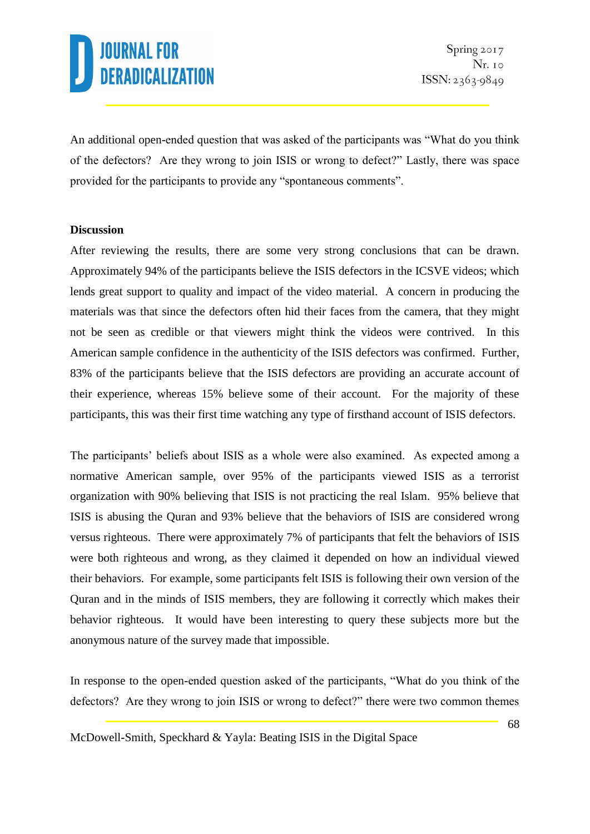An additional open-ended question that was asked of the participants was "What do you think of the defectors? Are they wrong to join ISIS or wrong to defect?" Lastly, there was space provided for the participants to provide any "spontaneous comments".

#### **Discussion**

After reviewing the results, there are some very strong conclusions that can be drawn. Approximately 94% of the participants believe the ISIS defectors in the ICSVE videos; which lends great support to quality and impact of the video material. A concern in producing the materials was that since the defectors often hid their faces from the camera, that they might not be seen as credible or that viewers might think the videos were contrived. In this American sample confidence in the authenticity of the ISIS defectors was confirmed. Further, 83% of the participants believe that the ISIS defectors are providing an accurate account of their experience, whereas 15% believe some of their account. For the majority of these participants, this was their first time watching any type of firsthand account of ISIS defectors.

The participants' beliefs about ISIS as a whole were also examined. As expected among a normative American sample, over 95% of the participants viewed ISIS as a terrorist organization with 90% believing that ISIS is not practicing the real Islam. 95% believe that ISIS is abusing the Quran and 93% believe that the behaviors of ISIS are considered wrong versus righteous. There were approximately 7% of participants that felt the behaviors of ISIS were both righteous and wrong, as they claimed it depended on how an individual viewed their behaviors. For example, some participants felt ISIS is following their own version of the Quran and in the minds of ISIS members, they are following it correctly which makes their behavior righteous. It would have been interesting to query these subjects more but the anonymous nature of the survey made that impossible.

In response to the open-ended question asked of the participants, "What do you think of the defectors? Are they wrong to join ISIS or wrong to defect?" there were two common themes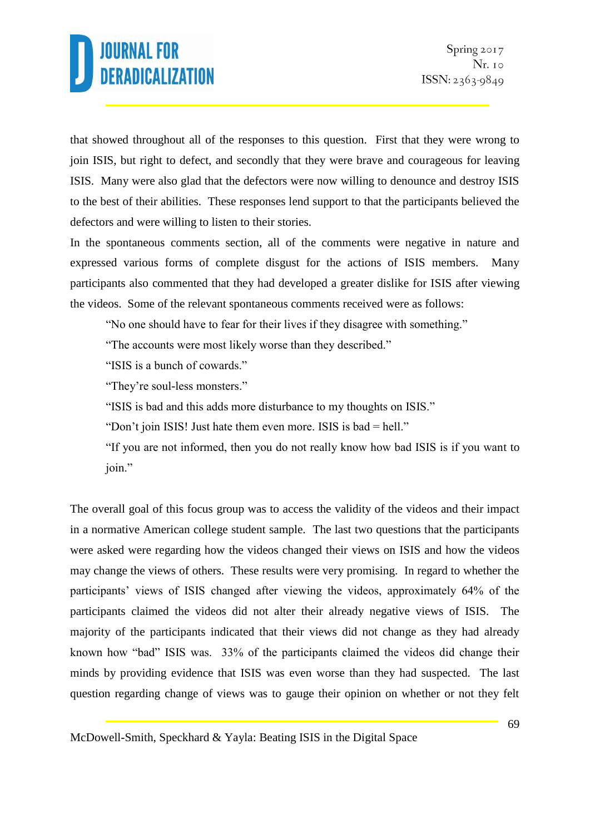that showed throughout all of the responses to this question. First that they were wrong to join ISIS, but right to defect, and secondly that they were brave and courageous for leaving ISIS. Many were also glad that the defectors were now willing to denounce and destroy ISIS to the best of their abilities. These responses lend support to that the participants believed the defectors and were willing to listen to their stories.

In the spontaneous comments section, all of the comments were negative in nature and expressed various forms of complete disgust for the actions of ISIS members. Many participants also commented that they had developed a greater dislike for ISIS after viewing the videos. Some of the relevant spontaneous comments received were as follows:

"No one should have to fear for their lives if they disagree with something."

"The accounts were most likely worse than they described."

"ISIS is a bunch of cowards."

"They're soul-less monsters."

"ISIS is bad and this adds more disturbance to my thoughts on ISIS."

"Don't join ISIS! Just hate them even more. ISIS is bad = hell."

"If you are not informed, then you do not really know how bad ISIS is if you want to join."

The overall goal of this focus group was to access the validity of the videos and their impact in a normative American college student sample. The last two questions that the participants were asked were regarding how the videos changed their views on ISIS and how the videos may change the views of others. These results were very promising. In regard to whether the participants' views of ISIS changed after viewing the videos, approximately 64% of the participants claimed the videos did not alter their already negative views of ISIS. The majority of the participants indicated that their views did not change as they had already known how "bad" ISIS was. 33% of the participants claimed the videos did change their minds by providing evidence that ISIS was even worse than they had suspected. The last question regarding change of views was to gauge their opinion on whether or not they felt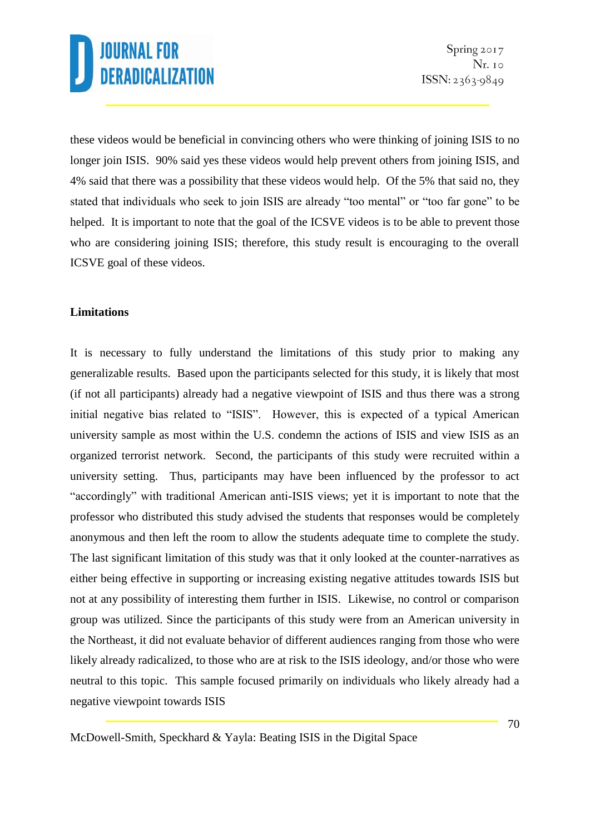these videos would be beneficial in convincing others who were thinking of joining ISIS to no longer join ISIS. 90% said yes these videos would help prevent others from joining ISIS, and 4% said that there was a possibility that these videos would help. Of the 5% that said no, they stated that individuals who seek to join ISIS are already "too mental" or "too far gone" to be helped. It is important to note that the goal of the ICSVE videos is to be able to prevent those who are considering joining ISIS; therefore, this study result is encouraging to the overall ICSVE goal of these videos.

### **Limitations**

It is necessary to fully understand the limitations of this study prior to making any generalizable results. Based upon the participants selected for this study, it is likely that most (if not all participants) already had a negative viewpoint of ISIS and thus there was a strong initial negative bias related to "ISIS". However, this is expected of a typical American university sample as most within the U.S. condemn the actions of ISIS and view ISIS as an organized terrorist network. Second, the participants of this study were recruited within a university setting. Thus, participants may have been influenced by the professor to act "accordingly" with traditional American anti-ISIS views; yet it is important to note that the professor who distributed this study advised the students that responses would be completely anonymous and then left the room to allow the students adequate time to complete the study. The last significant limitation of this study was that it only looked at the counter-narratives as either being effective in supporting or increasing existing negative attitudes towards ISIS but not at any possibility of interesting them further in ISIS. Likewise, no control or comparison group was utilized. Since the participants of this study were from an American university in the Northeast, it did not evaluate behavior of different audiences ranging from those who were likely already radicalized, to those who are at risk to the ISIS ideology, and/or those who were neutral to this topic. This sample focused primarily on individuals who likely already had a negative viewpoint towards ISIS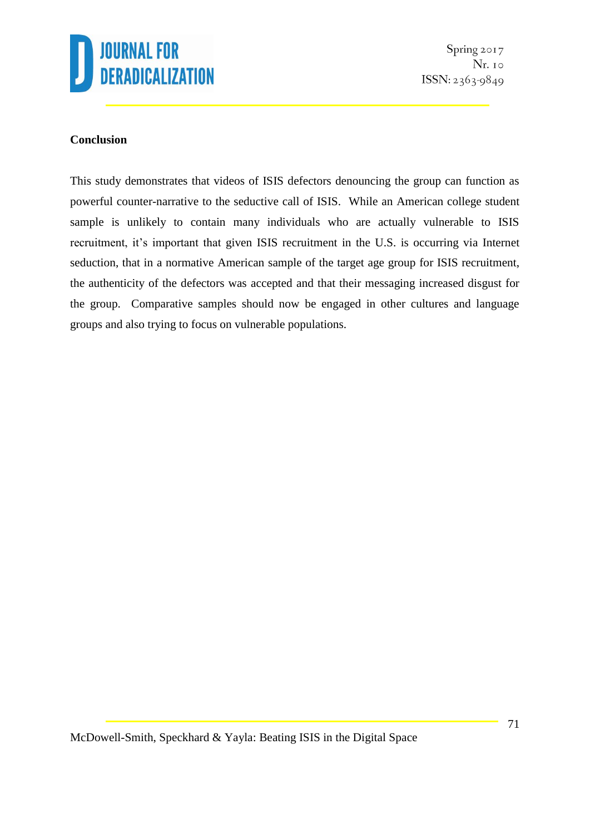

Spring 2017 Nr. 10 ISSN: 2363-9849

### **Conclusion**

This study demonstrates that videos of ISIS defectors denouncing the group can function as powerful counter-narrative to the seductive call of ISIS. While an American college student sample is unlikely to contain many individuals who are actually vulnerable to ISIS recruitment, it's important that given ISIS recruitment in the U.S. is occurring via Internet seduction, that in a normative American sample of the target age group for ISIS recruitment, the authenticity of the defectors was accepted and that their messaging increased disgust for the group. Comparative samples should now be engaged in other cultures and language groups and also trying to focus on vulnerable populations.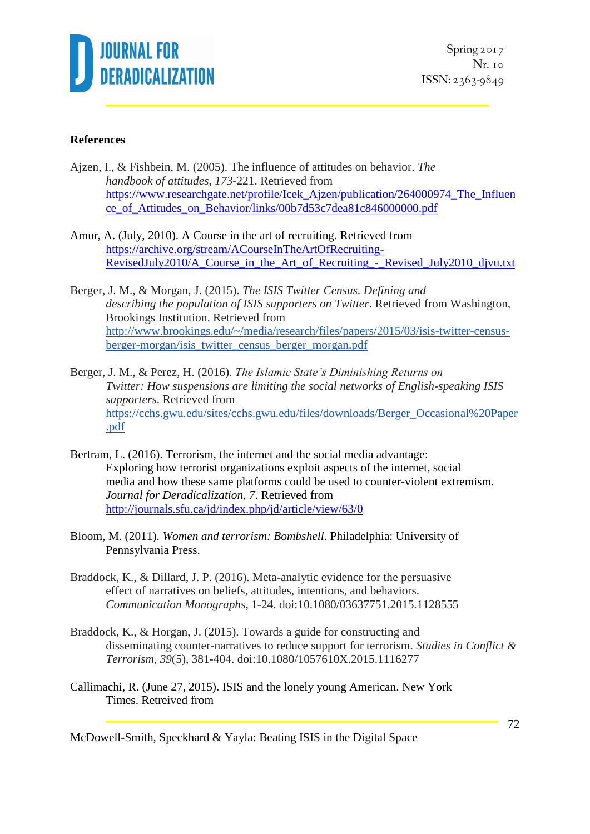

Spring 2017 Nr. 10  $ISSN: 2363-9849$ 

#### **References**

- Ajzen, I., & Fishbein, M. (2005). The influence of attitudes on behavior. *The handbook of attitudes*, *173*-221. Retrieved from [https://www.researchgate.net/profile/Icek\\_Ajzen/publication/264000974\\_The\\_Influen](https://www.researchgate.net/profile/Icek_Ajzen/publication/264000974_The_Influence_of_Attitudes_on_Behavior/links/00b7d53c7dea81c846000000.pdf) [ce\\_of\\_Attitudes\\_on\\_Behavior/links/00b7d53c7dea81c846000000.pdf](https://www.researchgate.net/profile/Icek_Ajzen/publication/264000974_The_Influence_of_Attitudes_on_Behavior/links/00b7d53c7dea81c846000000.pdf)
- Amur, A. (July, 2010). A Course in the art of recruiting. Retrieved from [https://archive.org/stream/ACourseInTheArtOfRecruiting-](https://archive.org/stream/ACourseInTheArtOfRecruiting-RevisedJuly2010/A_Course_in_the_Art_of_Recruiting_-_Revised_July2010_djvu.txt)[RevisedJuly2010/A\\_Course\\_in\\_the\\_Art\\_of\\_Recruiting\\_-\\_Revised\\_July2010\\_djvu.txt](https://archive.org/stream/ACourseInTheArtOfRecruiting-RevisedJuly2010/A_Course_in_the_Art_of_Recruiting_-_Revised_July2010_djvu.txt)
- Berger, J. M., & Morgan, J. (2015). *The ISIS Twitter Census. Defining and describing the population of ISIS supporters on Twitter*. Retrieved from Washington, Brookings Institution. Retrieved from [http://www.brookings.edu/~/media/research/files/papers/2015/03/isis-twitter-census](http://www.brookings.edu/~/media/research/files/papers/2015/03/isis-twitter-census-berger-morgan/isis_twitter_census_berger_morgan.pdf)[berger-morgan/isis\\_twitter\\_census\\_berger\\_morgan.pdf](http://www.brookings.edu/~/media/research/files/papers/2015/03/isis-twitter-census-berger-morgan/isis_twitter_census_berger_morgan.pdf)
- Berger, J. M., & Perez, H. (2016). *The Islamic State's Diminishing Returns on Twitter: How suspensions are limiting the social networks of English-speaking ISIS supporters*. Retrieved from [https://cchs.gwu.edu/sites/cchs.gwu.edu/files/downloads/Berger\\_Occasional%20Paper](https://cchs.gwu.edu/sites/cchs.gwu.edu/files/downloads/Berger_Occasional%20Paper.pdf) [.pdf](https://cchs.gwu.edu/sites/cchs.gwu.edu/files/downloads/Berger_Occasional%20Paper.pdf)
- Bertram, L. (2016). Terrorism, the internet and the social media advantage: Exploring how terrorist organizations exploit aspects of the internet, social media and how these same platforms could be used to counter-violent extremism*. Journal for Deradicalization, 7*. Retrieved from <http://journals.sfu.ca/jd/index.php/jd/article/view/63/0>
- Bloom, M. (2011). *Women and terrorism: Bombshell*. Philadelphia: University of Pennsylvania Press.
- Braddock, K., & Dillard, J. P. (2016). Meta-analytic evidence for the persuasive effect of narratives on beliefs, attitudes, intentions, and behaviors. *Communication Monographs*, 1-24. doi:10.1080/03637751.2015.1128555
- Braddock, K., & Horgan, J. (2015). Towards a guide for constructing and disseminating counter-narratives to reduce support for terrorism. *Studies in Conflict & Terrorism, 39*(5), 381-404. doi:10.1080/1057610X.2015.1116277
- Callimachi, R. (June 27, 2015). ISIS and the lonely young American. New York Times. Retreived from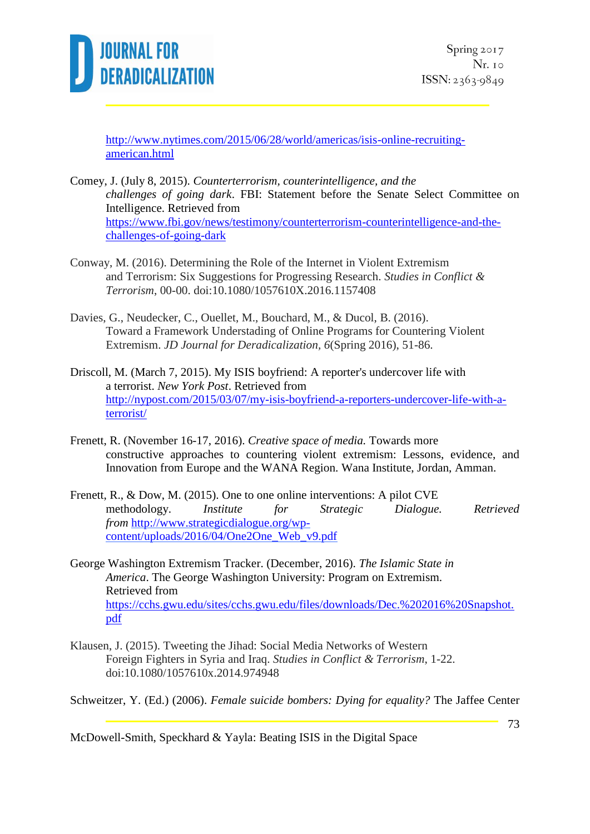

[http://www.nytimes.com/2015/06/28/world/americas/isis-online-recruiting](http://www.nytimes.com/2015/06/28/world/americas/isis-online-recruiting-american.html)[american.html](http://www.nytimes.com/2015/06/28/world/americas/isis-online-recruiting-american.html)

- Comey, J. (July 8, 2015). *Counterterrorism, counterintelligence, and the challenges of going dark*. FBI: Statement before the Senate Select Committee on Intelligence. Retrieved from [https://www.fbi.gov/news/testimony/counterterrorism-counterintelligence-and-the](https://www.fbi.gov/news/testimony/counterterrorism-counterintelligence-and-the-challenges-of-going-dark)[challenges-of-going-dark](https://www.fbi.gov/news/testimony/counterterrorism-counterintelligence-and-the-challenges-of-going-dark)
- Conway, M. (2016). Determining the Role of the Internet in Violent Extremism and Terrorism: Six Suggestions for Progressing Research. *Studies in Conflict & Terrorism*, 00-00. doi:10.1080/1057610X.2016.1157408
- Davies, G., Neudecker, C., Ouellet, M., Bouchard, M., & Ducol, B. (2016). Toward a Framework Understading of Online Programs for Countering Violent Extremism. *JD Journal for Deradicalization, 6*(Spring 2016), 51-86.
- Driscoll, M. (March 7, 2015). My ISIS boyfriend: A reporter's undercover life with a terrorist. *New York Post*. Retrieved from [http://nypost.com/2015/03/07/my-isis-boyfriend-a-reporters-undercover-life-with-a](http://nypost.com/2015/03/07/my-isis-boyfriend-a-reporters-undercover-life-with-a-terrorist/)[terrorist/](http://nypost.com/2015/03/07/my-isis-boyfriend-a-reporters-undercover-life-with-a-terrorist/)
- Frenett, R. (November 16-17, 2016). *Creative space of media.* Towards more constructive approaches to countering violent extremism: Lessons, evidence, and Innovation from Europe and the WANA Region. Wana Institute, Jordan, Amman.
- Frenett, R., & Dow, M. (2015). One to one online interventions: A pilot CVE methodology. *Institute for Strategic Dialogue. Retrieved from* [http://www.strategicdialogue.org/wp](http://www.strategicdialogue.org/wp-content/uploads/2016/04/One2One_Web_v9.pdf)[content/uploads/2016/04/One2One\\_Web\\_v9.pdf](http://www.strategicdialogue.org/wp-content/uploads/2016/04/One2One_Web_v9.pdf)
- George Washington Extremism Tracker. (December, 2016). *The Islamic State in America*. The George Washington University: Program on Extremism. Retrieved from [https://cchs.gwu.edu/sites/cchs.gwu.edu/files/downloads/Dec.%202016%20Snapshot.](https://cchs.gwu.edu/sites/cchs.gwu.edu/files/downloads/Dec.%202016%20Snapshot.pdf) [pdf](https://cchs.gwu.edu/sites/cchs.gwu.edu/files/downloads/Dec.%202016%20Snapshot.pdf)
- Klausen, J. (2015). Tweeting the Jihad: Social Media Networks of Western Foreign Fighters in Syria and Iraq. *Studies in Conflict & Terrorism*, 1-22. doi:10.1080/1057610x.2014.974948

Schweitzer, Y. (Ed.) (2006). *Female suicide bombers: Dying for equality?* The Jaffee Center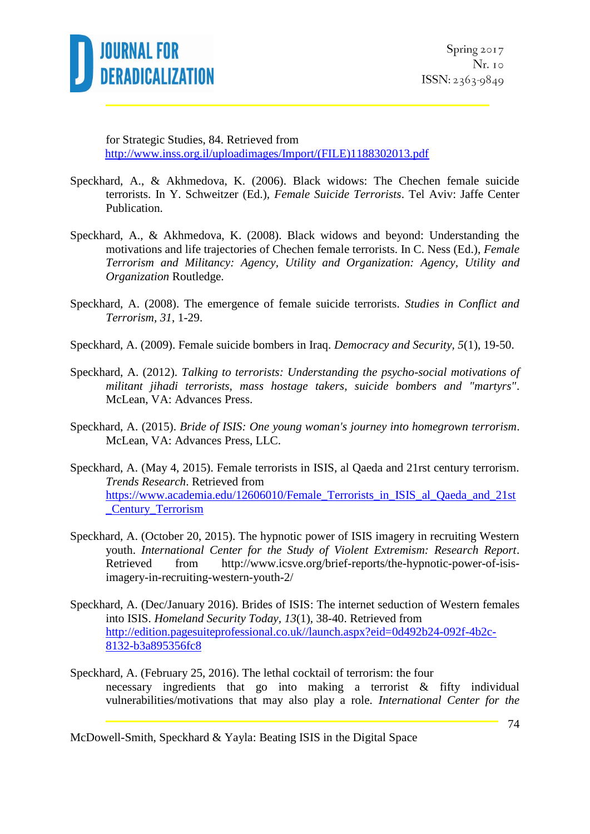

for Strategic Studies, 84. Retrieved from [http://www.inss.org.il/uploadimages/Import/\(FILE\)1188302013.pdf](http://www.inss.org.il/uploadimages/Import/(FILE)1188302013.pdf)

- Speckhard, A., & Akhmedova, K. (2006). Black widows: The Chechen female suicide terrorists. In Y. Schweitzer (Ed.), *Female Suicide Terrorists*. Tel Aviv: Jaffe Center Publication.
- Speckhard, A., & Akhmedova, K. (2008). Black widows and beyond: Understanding the motivations and life trajectories of Chechen female terrorists. In C. Ness (Ed.), *Female Terrorism and Militancy: Agency, Utility and Organization: Agency, Utility and Organization* Routledge.
- Speckhard, A. (2008). The emergence of female suicide terrorists. *Studies in Conflict and Terrorism, 31*, 1-29.
- Speckhard, A. (2009). Female suicide bombers in Iraq. *Democracy and Security, 5*(1), 19-50.
- Speckhard, A. (2012). *Talking to terrorists: Understanding the psycho-social motivations of militant jihadi terrorists, mass hostage takers, suicide bombers and "martyrs"*. McLean, VA: Advances Press.
- Speckhard, A. (2015). *Bride of ISIS: One young woman's journey into homegrown terrorism*. McLean, VA: Advances Press, LLC.
- Speckhard, A. (May 4, 2015). Female terrorists in ISIS, al Qaeda and 21rst century terrorism. *Trends Research*. Retrieved from [https://www.academia.edu/12606010/Female\\_Terrorists\\_in\\_ISIS\\_al\\_Qaeda\\_and\\_21st](https://www.academia.edu/12606010/Female_Terrorists_in_ISIS_al_Qaeda_and_21st_Century_Terrorism) [\\_Century\\_Terrorism](https://www.academia.edu/12606010/Female_Terrorists_in_ISIS_al_Qaeda_and_21st_Century_Terrorism)
- Speckhard, A. (October 20, 2015). The hypnotic power of ISIS imagery in recruiting Western youth. *International Center for the Study of Violent Extremism: Research Report*. Retrieved from http://www.icsve.org/brief-reports/the-hypnotic-power-of-isisimagery-in-recruiting-western-youth-2/
- Speckhard, A. (Dec/January 2016). Brides of ISIS: The internet seduction of Western females into ISIS. *Homeland Security Today, 13*(1), 38-40. Retrieved from [http://edition.pagesuiteprofessional.co.uk//launch.aspx?eid=0d492b24-092f-4b2c-](http://edition.pagesuiteprofessional.co.uk/launch.aspx?eid=0d492b24-092f-4b2c-8132-b3a895356fc8)[8132-b3a895356fc8](http://edition.pagesuiteprofessional.co.uk/launch.aspx?eid=0d492b24-092f-4b2c-8132-b3a895356fc8)
- Speckhard, A. (February 25, 2016). The lethal cocktail of terrorism: the four necessary ingredients that go into making a terrorist & fifty individual vulnerabilities/motivations that may also play a role. *International Center for the*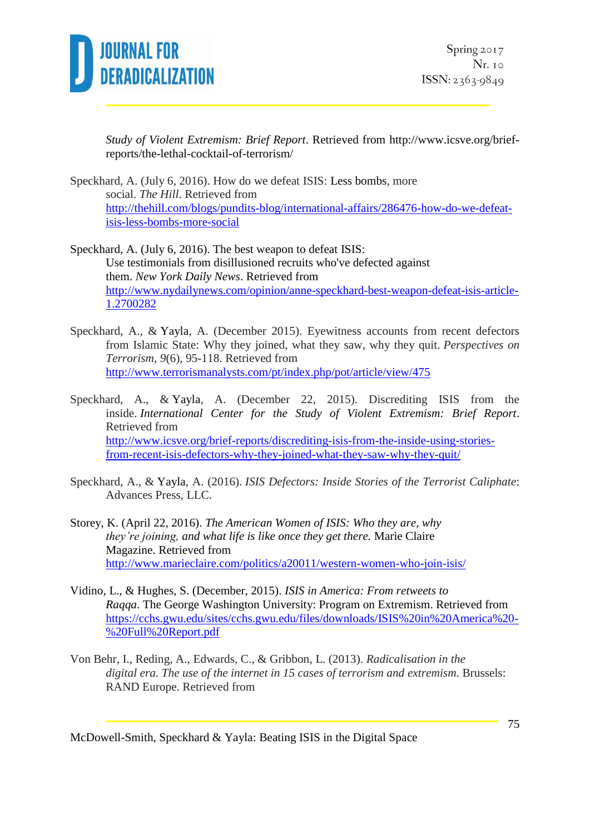

*Study of Violent Extremism: Brief Report*. Retrieved from [http://www.icsve.org/brief](http://www.icsve.org/brief-reports/the-lethal-cocktail-of-terrorism/)[reports/the-lethal-cocktail-of-terrorism/](http://www.icsve.org/brief-reports/the-lethal-cocktail-of-terrorism/)

Speckhard, A. (July 6, 2016). How do we defeat ISIS: Less bombs, more social. *The Hill*. Retrieved from [http://thehill.com/blogs/pundits-blog/international-affairs/286476-how-do-we-defeat](http://thehill.com/blogs/pundits-blog/international-affairs/286476-how-do-we-defeat-isis-less-bombs-more-social)[isis-less-bombs-more-social](http://thehill.com/blogs/pundits-blog/international-affairs/286476-how-do-we-defeat-isis-less-bombs-more-social)

Speckhard, A. (July 6, 2016). The best weapon to defeat ISIS: Use testimonials from disillusioned recruits who've defected against them. *New York Daily News*. Retrieved from [http://www.nydailynews.com/opinion/anne-speckhard-best-weapon-defeat-isis-article-](http://www.nydailynews.com/opinion/anne-speckhard-best-weapon-defeat-isis-article-1.2700282)[1.2700282](http://www.nydailynews.com/opinion/anne-speckhard-best-weapon-defeat-isis-article-1.2700282)

- Speckhard, A., & Yayla, A. (December 2015). Eyewitness accounts from recent defectors from Islamic State: Why they joined, what they saw, why they quit. *Perspectives on Terrorism, 9*(6), 95-118. Retrieved from <http://www.terrorismanalysts.com/pt/index.php/pot/article/view/475>
- Speckhard, A., & Yayla, A. (December 22, 2015). Discrediting ISIS from the inside. *International Center for the Study of Violent Extremism: Brief Report*. Retrieved from [http://www.icsve.org/brief-reports/discrediting-isis-from-the-inside-using-stories](http://www.icsve.org/brief-reports/discrediting-isis-from-the-inside-using-stories-from-recent-isis-defectors-why-they-joined-what-they-saw-why-they-quit/)[from-recent-isis-defectors-why-they-joined-what-they-saw-why-they-quit/](http://www.icsve.org/brief-reports/discrediting-isis-from-the-inside-using-stories-from-recent-isis-defectors-why-they-joined-what-they-saw-why-they-quit/)
- Speckhard, A., & Yayla, A. (2016). *ISIS Defectors: Inside Stories of the Terrorist Caliphate*: Advances Press, LLC.
- Storey, K. (April 22, 2016). *The American Women of ISIS: Who they are, why they're joining, and what life is like once they get there.* Marie Claire Magazine. Retrieved from <http://www.marieclaire.com/politics/a20011/western-women-who-join-isis/>
- Vidino, L., & Hughes, S. (December, 2015). *ISIS in America: From retweets to Raqqa*. The George Washington University: Program on Extremism. Retrieved from [https://cchs.gwu.edu/sites/cchs.gwu.edu/files/downloads/ISIS%20in%20America%20-](https://cchs.gwu.edu/sites/cchs.gwu.edu/files/downloads/ISIS%20in%20America%20-%20Full%20Report.pdf) [%20Full%20Report.pdf](https://cchs.gwu.edu/sites/cchs.gwu.edu/files/downloads/ISIS%20in%20America%20-%20Full%20Report.pdf)
- Von Behr, I., Reding, A., Edwards, C., & Gribbon, L. (2013). *Radicalisation in the digital era. The use of the internet in 15 cases of terrorism and extremism*. Brussels: RAND Europe. Retrieved from